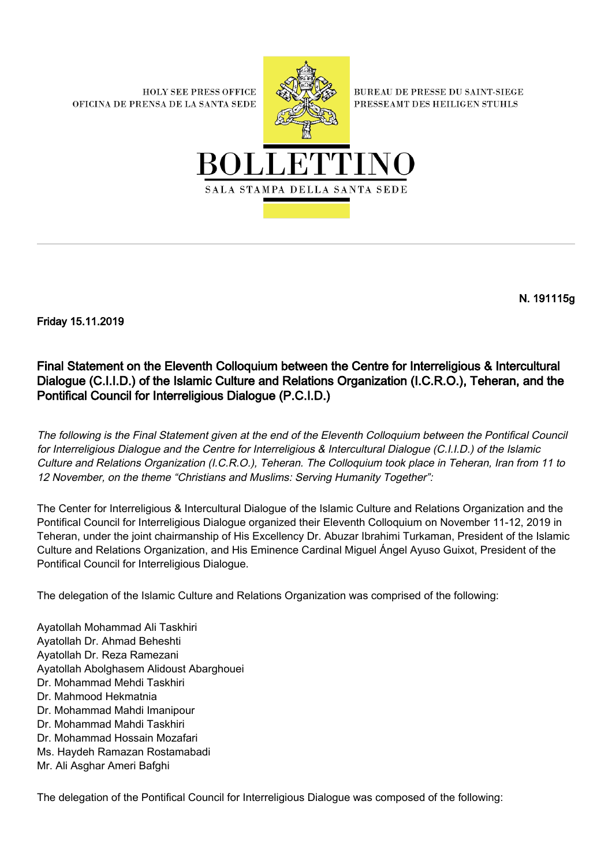**HOLY SEE PRESS OFFICE** OFICINA DE PRENSA DE LA SANTA SEDE



**BUREAU DE PRESSE DU SAINT-SIEGE** PRESSEAMT DES HEILIGEN STUHLS



N. 191115g

Friday 15.11.2019

## Final Statement on the Eleventh Colloquium between the Centre for Interreligious & Intercultural Dialogue (C.I.I.D.) of the Islamic Culture and Relations Organization (I.C.R.O.), Teheran, and the Pontifical Council for Interreligious Dialogue (P.C.I.D.)

The following is the Final Statement given at the end of the Eleventh Colloquium between the Pontifical Council for Interreligious Dialogue and the Centre for Interreligious & Intercultural Dialogue (C.I.I.D.) of the Islamic Culture and Relations Organization (I.C.R.O.), Teheran. The Colloquium took place in Teheran, Iran from 11 to 12 November, on the theme "Christians and Muslims: Serving Humanity Together":

The Center for Interreligious & Intercultural Dialogue of the Islamic Culture and Relations Organization and the Pontifical Council for Interreligious Dialogue organized their Eleventh Colloquium on November 11-12, 2019 in Teheran, under the joint chairmanship of His Excellency Dr. Abuzar Ibrahimi Turkaman, President of the Islamic Culture and Relations Organization, and His Eminence Cardinal Miguel Ángel Ayuso Guixot, President of the Pontifical Council for Interreligious Dialogue.

The delegation of the Islamic Culture and Relations Organization was comprised of the following:

Ayatollah Mohammad Ali Taskhiri Ayatollah Dr. Ahmad Beheshti Ayatollah Dr. Reza Ramezani Ayatollah Abolghasem Alidoust Abarghouei Dr. Mohammad Mehdi Taskhiri Dr. Mahmood Hekmatnia Dr. Mohammad Mahdi Imanipour Dr. Mohammad Mahdi Taskhiri Dr. Mohammad Hossain Mozafari Ms. Haydeh Ramazan Rostamabadi Mr. Ali Asghar Ameri Bafghi

The delegation of the Pontifical Council for Interreligious Dialogue was composed of the following: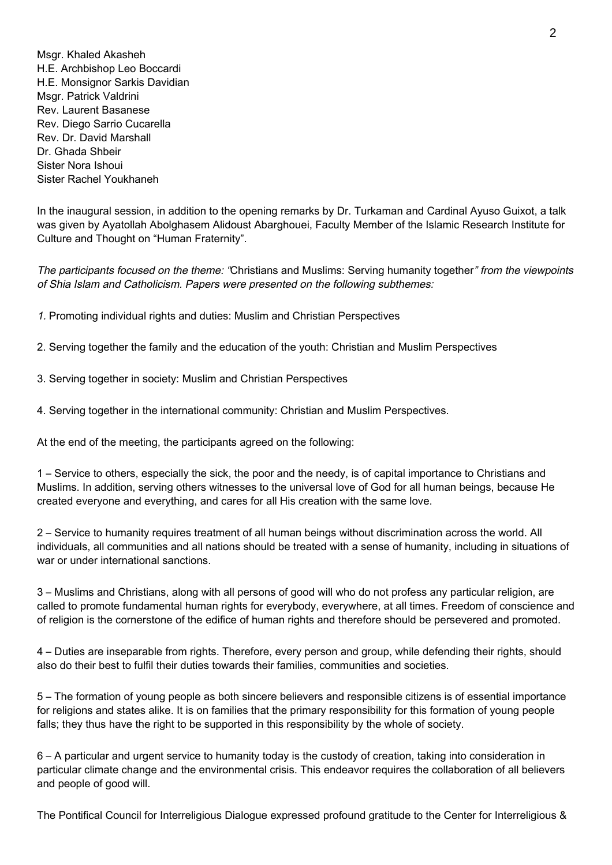Msgr. Khaled Akasheh H.E. Archbishop Leo Boccardi H.E. Monsignor Sarkis Davidian Msgr. Patrick Valdrini Rev. Laurent Basanese Rev. Diego Sarrio Cucarella Rev. Dr. David Marshall Dr. Ghada Shbeir Sister Nora Ishoui Sister Rachel Youkhaneh

In the inaugural session, in addition to the opening remarks by Dr. Turkaman and Cardinal Ayuso Guixot, a talk was given by Ayatollah Abolghasem Alidoust Abarghouei, Faculty Member of the Islamic Research Institute for Culture and Thought on "Human Fraternity".

The participants focused on the theme: "Christians and Muslims: Serving humanity together" from the viewpoints of Shia Islam and Catholicism. Papers were presented on the following subthemes:

1. Promoting individual rights and duties: Muslim and Christian Perspectives

2. Serving together the family and the education of the youth: Christian and Muslim Perspectives

3. Serving together in society: Muslim and Christian Perspectives

4. Serving together in the international community: Christian and Muslim Perspectives.

At the end of the meeting, the participants agreed on the following:

1 – Service to others, especially the sick, the poor and the needy, is of capital importance to Christians and Muslims. In addition, serving others witnesses to the universal love of God for all human beings, because He created everyone and everything, and cares for all His creation with the same love.

2 – Service to humanity requires treatment of all human beings without discrimination across the world. All individuals, all communities and all nations should be treated with a sense of humanity, including in situations of war or under international sanctions.

3 – Muslims and Christians, along with all persons of good will who do not profess any particular religion, are called to promote fundamental human rights for everybody, everywhere, at all times. Freedom of conscience and of religion is the cornerstone of the edifice of human rights and therefore should be persevered and promoted.

4 – Duties are inseparable from rights. Therefore, every person and group, while defending their rights, should also do their best to fulfil their duties towards their families, communities and societies.

5 – The formation of young people as both sincere believers and responsible citizens is of essential importance for religions and states alike. It is on families that the primary responsibility for this formation of young people falls; they thus have the right to be supported in this responsibility by the whole of society.

6 – A particular and urgent service to humanity today is the custody of creation, taking into consideration in particular climate change and the environmental crisis. This endeavor requires the collaboration of all believers and people of good will.

The Pontifical Council for Interreligious Dialogue expressed profound gratitude to the Center for Interreligious &